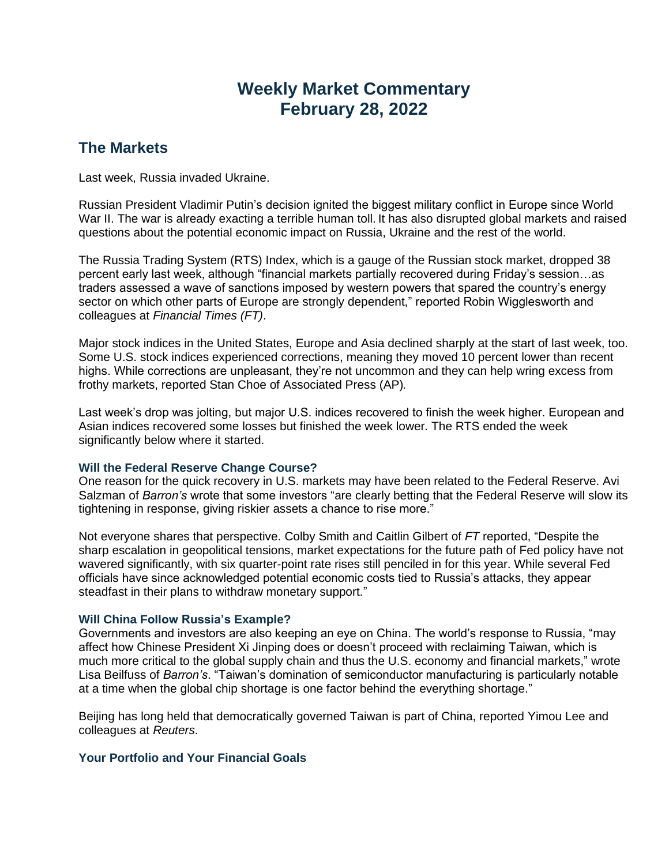# **Weekly Market Commentary February 28, 2022**

# **The Markets**

Last week, Russia invaded Ukraine.

Russian President Vladimir Putin's decision ignited the biggest military conflict in Europe since World War II. The war is already exacting a terrible human toll. It has also disrupted global markets and raised questions about the potential economic impact on Russia, Ukraine and the rest of the world.

The Russia Trading System (RTS) Index, which is a gauge of the Russian stock market, dropped 38 percent early last week, although "financial markets partially recovered during Friday's session…as traders assessed a wave of sanctions imposed by western powers that spared the country's energy sector on which other parts of Europe are strongly dependent," reported Robin Wigglesworth and colleagues at *Financial Times (FT)*.

Major stock indices in the United States, Europe and Asia declined sharply at the start of last week, too. Some U.S. stock indices experienced corrections, meaning they moved 10 percent lower than recent highs. While corrections are unpleasant, they're not uncommon and they can help wring excess from frothy markets, reported Stan Choe of Associated Press (AP)*.*

Last week's drop was jolting, but major U.S. indices recovered to finish the week higher. European and Asian indices recovered some losses but finished the week lower. The RTS ended the week significantly below where it started.

### **Will the Federal Reserve Change Course?**

One reason for the quick recovery in U.S. markets may have been related to the Federal Reserve. Avi Salzman of *Barron's* wrote that some investors "are clearly betting that the Federal Reserve will slow its tightening in response, giving riskier assets a chance to rise more."

Not everyone shares that perspective. Colby Smith and Caitlin Gilbert of *FT* reported, "Despite the sharp escalation in geopolitical tensions, market expectations for the future path of Fed policy have not wavered significantly, with six quarter-point rate rises still penciled in for this year. While several Fed officials have since acknowledged potential economic costs tied to Russia's attacks, they appear steadfast in their plans to withdraw monetary support."

### **Will China Follow Russia's Example?**

Governments and investors are also keeping an eye on China. The world's response to Russia, "may affect how Chinese President Xi Jinping does or doesn't proceed with reclaiming Taiwan, which is much more critical to the global supply chain and thus the U.S. economy and financial markets," wrote Lisa Beilfuss of *Barron's*. "Taiwan's domination of semiconductor manufacturing is particularly notable at a time when the global chip shortage is one factor behind the everything shortage."

Beijing has long held that democratically governed Taiwan is part of China, reported Yimou Lee and colleagues at *Reuters*.

## **Your Portfolio and Your Financial Goals**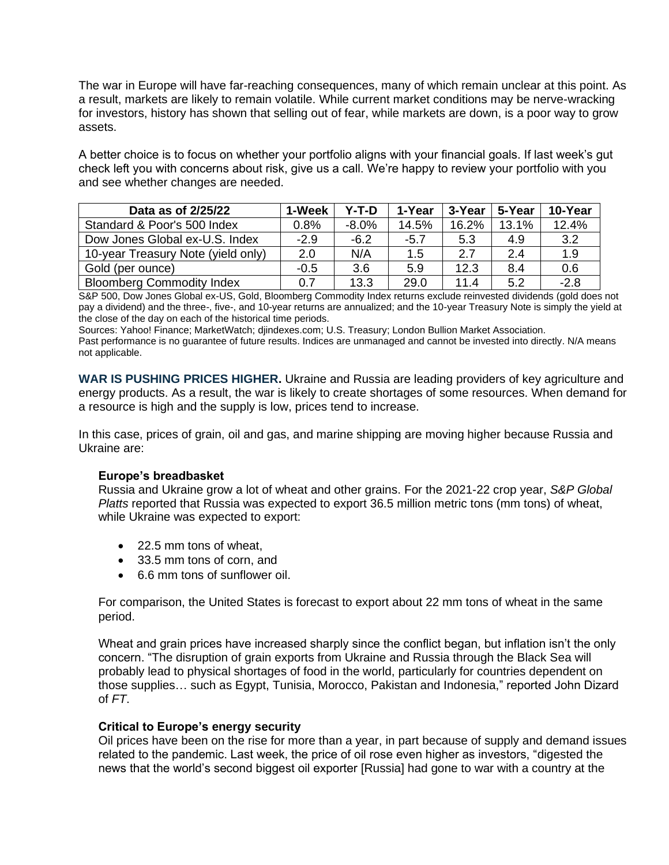The war in Europe will have far-reaching consequences, many of which remain unclear at this point. As a result, markets are likely to remain volatile. While current market conditions may be nerve-wracking for investors, history has shown that selling out of fear, while markets are down, is a poor way to grow assets.

A better choice is to focus on whether your portfolio aligns with your financial goals. If last week's gut check left you with concerns about risk, give us a call. We're happy to review your portfolio with you and see whether changes are needed.

| Data as of 2/25/22                 | 1-Week | Y-T-D    | 1-Year | 3-Year | 5-Year | 10-Year |
|------------------------------------|--------|----------|--------|--------|--------|---------|
| Standard & Poor's 500 Index        | 0.8%   | $-8.0\%$ | 14.5%  | 16.2%  | 13.1%  | 12.4%   |
| Dow Jones Global ex-U.S. Index     | $-2.9$ | $-6.2$   | $-5.7$ | 5.3    | 4.9    | 3.2     |
| 10-year Treasury Note (yield only) | 2.0    | N/A      | 1.5    | 2.7    | 2.4    | 1.9     |
| Gold (per ounce)                   | $-0.5$ | 3.6      | 5.9    | 12.3   | 8.4    | 0.6     |
| <b>Bloomberg Commodity Index</b>   | 0.7    | 13.3     | 29.0   | 11.4   | 5.2    | $-2.8$  |

S&P 500, Dow Jones Global ex-US, Gold, Bloomberg Commodity Index returns exclude reinvested dividends (gold does not pay a dividend) and the three-, five-, and 10-year returns are annualized; and the 10-year Treasury Note is simply the yield at the close of the day on each of the historical time periods.

Sources: Yahoo! Finance; MarketWatch; djindexes.com; U.S. Treasury; London Bullion Market Association.

Past performance is no guarantee of future results. Indices are unmanaged and cannot be invested into directly. N/A means not applicable.

**WAR IS PUSHING PRICES HIGHER.** Ukraine and Russia are leading providers of key agriculture and energy products. As a result, the war is likely to create shortages of some resources. When demand for a resource is high and the supply is low, prices tend to increase.

In this case, prices of grain, oil and gas, and marine shipping are moving higher because Russia and Ukraine are:

### **Europe's breadbasket**

Russia and Ukraine grow a lot of wheat and other grains. For the 2021-22 crop year, *S&P Global Platts* reported that Russia was expected to export 36.5 million metric tons (mm tons) of wheat, while Ukraine was expected to export:

- 22.5 mm tons of wheat,
- 33.5 mm tons of corn, and
- 6.6 mm tons of sunflower oil.

For comparison, the United States is forecast to export about 22 mm tons of wheat in the same period.

Wheat and grain prices have increased sharply since the conflict began, but inflation isn't the only concern. "The disruption of grain exports from Ukraine and Russia through the Black Sea will probably lead to physical shortages of food in the world, particularly for countries dependent on those supplies… such as Egypt, Tunisia, Morocco, Pakistan and Indonesia," reported John Dizard of *FT*.

#### **Critical to Europe's energy security**

Oil prices have been on the rise for more than a year, in part because of supply and demand issues related to the pandemic. Last week, the price of oil rose even higher as investors, "digested the news that the world's second biggest oil exporter [Russia] had gone to war with a country at the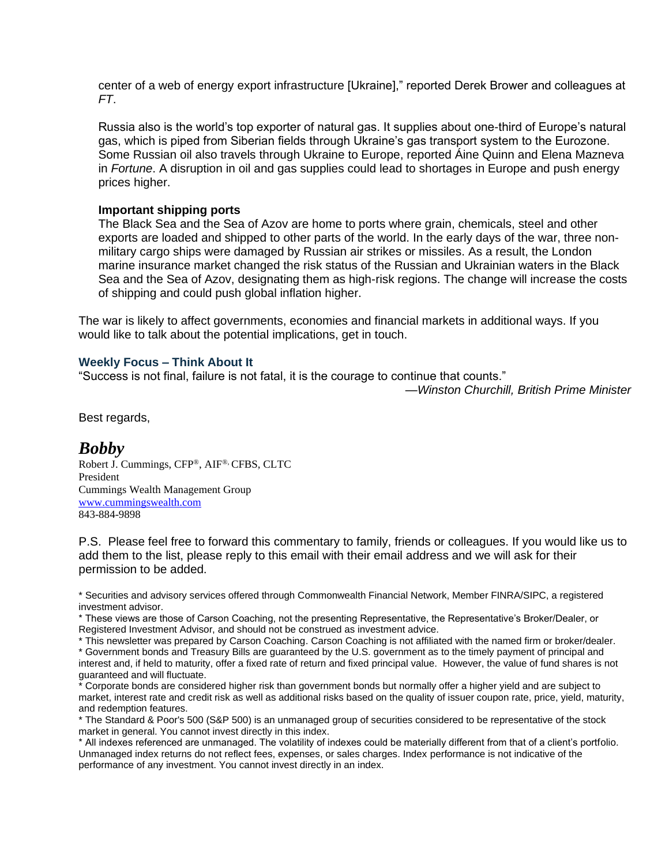center of a web of energy export infrastructure [Ukraine]," reported Derek Brower and colleagues at *FT*.

Russia also is the world's top exporter of natural gas. It supplies about one-third of Europe's natural gas, which is piped from Siberian fields through Ukraine's gas transport system to the Eurozone. Some Russian oil also travels through Ukraine to Europe, reported Áine Quinn and Elena Mazneva in *Fortune*. A disruption in oil and gas supplies could lead to shortages in Europe and push energy prices higher.

#### **Important shipping ports**

The Black Sea and the Sea of Azov are home to ports where grain, chemicals, steel and other exports are loaded and shipped to other parts of the world. In the early days of the war, three nonmilitary cargo ships were damaged by Russian air strikes or missiles. As a result, the London marine insurance market changed the risk status of the Russian and Ukrainian waters in the Black Sea and the Sea of Azov, designating them as high-risk regions. The change will increase the costs of shipping and could push global inflation higher.

The war is likely to affect governments, economies and financial markets in additional ways. If you would like to talk about the potential implications, get in touch.

#### **Weekly Focus – Think About It**

"Success is not final, failure is not fatal, it is the courage to continue that counts."

*—Winston Churchill, British Prime Minister*

Best regards,

# *Bobby*

Robert J. Cummings, CFP®, AIF®, CFBS, CLTC President Cummings Wealth Management Group [www.cummingswealth.com](http://www.cummingswealth.com/) 843-884-9898

P.S. Please feel free to forward this commentary to family, friends or colleagues. If you would like us to add them to the list, please reply to this email with their email address and we will ask for their permission to be added.

\* Securities and advisory services offered through Commonwealth Financial Network, Member FINRA/SIPC, a registered investment advisor.

\* These views are those of Carson Coaching, not the presenting Representative, the Representative's Broker/Dealer, or Registered Investment Advisor, and should not be construed as investment advice.

\* This newsletter was prepared by Carson Coaching. Carson Coaching is not affiliated with the named firm or broker/dealer. \* Government bonds and Treasury Bills are guaranteed by the U.S. government as to the timely payment of principal and interest and, if held to maturity, offer a fixed rate of return and fixed principal value. However, the value of fund shares is not

guaranteed and will fluctuate. \* Corporate bonds are considered higher risk than government bonds but normally offer a higher yield and are subject to market, interest rate and credit risk as well as additional risks based on the quality of issuer coupon rate, price, yield, maturity, and redemption features.

\* The Standard & Poor's 500 (S&P 500) is an unmanaged group of securities considered to be representative of the stock market in general. You cannot invest directly in this index.

\* All indexes referenced are unmanaged. The volatility of indexes could be materially different from that of a client's portfolio. Unmanaged index returns do not reflect fees, expenses, or sales charges. Index performance is not indicative of the performance of any investment. You cannot invest directly in an index.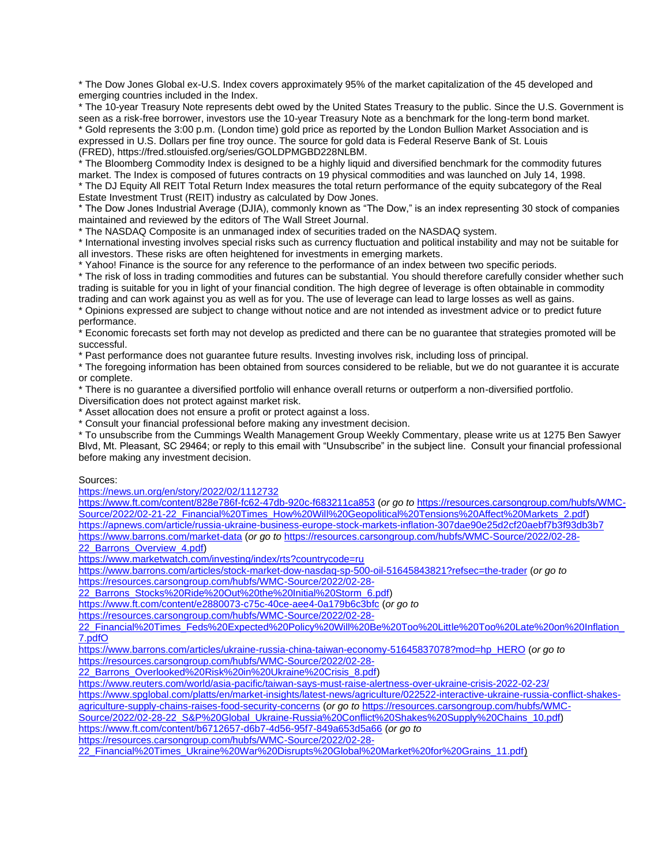\* The Dow Jones Global ex-U.S. Index covers approximately 95% of the market capitalization of the 45 developed and emerging countries included in the Index.

\* The 10-year Treasury Note represents debt owed by the United States Treasury to the public. Since the U.S. Government is seen as a risk-free borrower, investors use the 10-year Treasury Note as a benchmark for the long-term bond market. \* Gold represents the 3:00 p.m. (London time) gold price as reported by the London Bullion Market Association and is

expressed in U.S. Dollars per fine troy ounce. The source for gold data is Federal Reserve Bank of St. Louis (FRED), https://fred.stlouisfed.org/series/GOLDPMGBD228NLBM.

\* The Bloomberg Commodity Index is designed to be a highly liquid and diversified benchmark for the commodity futures market. The Index is composed of futures contracts on 19 physical commodities and was launched on July 14, 1998.

\* The DJ Equity All REIT Total Return Index measures the total return performance of the equity subcategory of the Real Estate Investment Trust (REIT) industry as calculated by Dow Jones.

\* The Dow Jones Industrial Average (DJIA), commonly known as "The Dow," is an index representing 30 stock of companies maintained and reviewed by the editors of The Wall Street Journal.

\* The NASDAQ Composite is an unmanaged index of securities traded on the NASDAQ system.

\* International investing involves special risks such as currency fluctuation and political instability and may not be suitable for all investors. These risks are often heightened for investments in emerging markets.

\* Yahoo! Finance is the source for any reference to the performance of an index between two specific periods.

\* The risk of loss in trading commodities and futures can be substantial. You should therefore carefully consider whether such trading is suitable for you in light of your financial condition. The high degree of leverage is often obtainable in commodity trading and can work against you as well as for you. The use of leverage can lead to large losses as well as gains.

\* Opinions expressed are subject to change without notice and are not intended as investment advice or to predict future performance.

\* Economic forecasts set forth may not develop as predicted and there can be no guarantee that strategies promoted will be successful.

\* Past performance does not guarantee future results. Investing involves risk, including loss of principal.

\* The foregoing information has been obtained from sources considered to be reliable, but we do not guarantee it is accurate or complete.

\* There is no guarantee a diversified portfolio will enhance overall returns or outperform a non-diversified portfolio.

Diversification does not protect against market risk.

\* Asset allocation does not ensure a profit or protect against a loss.

\* Consult your financial professional before making any investment decision.

\* To unsubscribe from the Cummings Wealth Management Group Weekly Commentary, please write us at 1275 Ben Sawyer Blvd, Mt. Pleasant, SC 29464; or reply to this email with "Unsubscribe" in the subject line. Consult your financial professional before making any investment decision.

Sources:

<https://news.un.org/en/story/2022/02/1112732>

<https://www.ft.com/content/828e786f-fc62-47db-920c-f683211ca853> (*or go to* [https://resources.carsongroup.com/hubfs/WMC-](https://resources.carsongroup.com/hubfs/WMC-Source/2022/02-21-22_Financial%20Times_How%20Will%20Geopolitical%20Tensions%20Affect%20Markets_2.pdf)[Source/2022/02-21-22\\_Financial%20Times\\_How%20Will%20Geopolitical%20Tensions%20Affect%20Markets\\_2.pdf\)](https://resources.carsongroup.com/hubfs/WMC-Source/2022/02-21-22_Financial%20Times_How%20Will%20Geopolitical%20Tensions%20Affect%20Markets_2.pdf) <https://apnews.com/article/russia-ukraine-business-europe-stock-markets-inflation-307dae90e25d2cf20aebf7b3f93db3b7> <https://www.barrons.com/market-data> (*or go to* [https://resources.carsongroup.com/hubfs/WMC-Source/2022/02-28-](https://resources.carsongroup.com/hubfs/WMC-Source/2022/02-28-22_Barrons_Overview_4.pdf) [22\\_Barrons\\_Overview\\_4.pdf\)](https://resources.carsongroup.com/hubfs/WMC-Source/2022/02-28-22_Barrons_Overview_4.pdf)

<https://www.marketwatch.com/investing/index/rts?countrycode=ru>

<https://www.barrons.com/articles/stock-market-dow-nasdaq-sp-500-oil-51645843821?refsec=the-trader> (*or go to* [https://resources.carsongroup.com/hubfs/WMC-Source/2022/02-28-](https://resources.carsongroup.com/hubfs/WMC-Source/2022/02-28-22_Barrons_Stocks%20Ride%20Out%20the%20Initial%20Storm_6.pdf)

[22\\_Barrons\\_Stocks%20Ride%20Out%20the%20Initial%20Storm\\_6.pdf\)](https://resources.carsongroup.com/hubfs/WMC-Source/2022/02-28-22_Barrons_Stocks%20Ride%20Out%20the%20Initial%20Storm_6.pdf)

<https://www.ft.com/content/e2880073-c75c-40ce-aee4-0a179b6c3bfc> (*or go to* 

[https://resources.carsongroup.com/hubfs/WMC-Source/2022/02-28-](https://resources.carsongroup.com/hubfs/WMC-Source/2022/02-28-22_Financial%20Times_Feds%20Expected%20Policy%20Will%20Be%20Too%20Little%20Too%20Late%20on%20Inflation_7.pdfO)

[22\\_Financial%20Times\\_Feds%20Expected%20Policy%20Will%20Be%20Too%20Little%20Too%20Late%20on%20Inflation\\_](https://resources.carsongroup.com/hubfs/WMC-Source/2022/02-28-22_Financial%20Times_Feds%20Expected%20Policy%20Will%20Be%20Too%20Little%20Too%20Late%20on%20Inflation_7.pdfO) [7.pdfO](https://resources.carsongroup.com/hubfs/WMC-Source/2022/02-28-22_Financial%20Times_Feds%20Expected%20Policy%20Will%20Be%20Too%20Little%20Too%20Late%20on%20Inflation_7.pdfO)

[https://www.barrons.com/articles/ukraine-russia-china-taiwan-economy-51645837078?mod=hp\\_HERO](https://www.barrons.com/articles/ukraine-russia-china-taiwan-economy-51645837078?mod=hp_HERO) (*or go to* [https://resources.carsongroup.com/hubfs/WMC-Source/2022/02-28-](https://resources.carsongroup.com/hubfs/WMC-Source/2022/02-28-22_Barrons_Overlooked%20Risk%20in%20Ukraine%20Crisis_8.pdf)

[22\\_Barrons\\_Overlooked%20Risk%20in%20Ukraine%20Crisis\\_8.pdf\)](https://resources.carsongroup.com/hubfs/WMC-Source/2022/02-28-22_Barrons_Overlooked%20Risk%20in%20Ukraine%20Crisis_8.pdf)

<https://www.reuters.com/world/asia-pacific/taiwan-says-must-raise-alertness-over-ukraine-crisis-2022-02-23/>

[https://www.spglobal.com/platts/en/market-insights/latest-news/agriculture/022522-interactive-ukraine-russia-conflict-shakes](https://www.spglobal.com/platts/en/market-insights/latest-news/agriculture/022522-interactive-ukraine-russia-conflict-shakes-agriculture-supply-chains-raises-food-security-concerns)[agriculture-supply-chains-raises-food-security-concerns](https://www.spglobal.com/platts/en/market-insights/latest-news/agriculture/022522-interactive-ukraine-russia-conflict-shakes-agriculture-supply-chains-raises-food-security-concerns) (*or go to* [https://resources.carsongroup.com/hubfs/WMC-](https://resources.carsongroup.com/hubfs/WMC-Source/2022/02-28-22_S&P%20Global_Ukraine-Russia%20Conflict%20Shakes%20Supply%20Chains_10.pdf)

[Source/2022/02-28-22\\_S&P%20Global\\_Ukraine-Russia%20Conflict%20Shakes%20Supply%20Chains\\_10.pdf\)](https://resources.carsongroup.com/hubfs/WMC-Source/2022/02-28-22_S&P%20Global_Ukraine-Russia%20Conflict%20Shakes%20Supply%20Chains_10.pdf)

<https://www.ft.com/content/b6712657-d6b7-4d56-95f7-849a653d5a66> (*or go to*

[https://resources.carsongroup.com/hubfs/WMC-Source/2022/02-28-](https://resources.carsongroup.com/hubfs/WMC-Source/2022/02-28-22_Financial%20Times_Ukraine%20War%20Disrupts%20Global%20Market%20for%20Grains_11.pdf)

[22\\_Financial%20Times\\_Ukraine%20War%20Disrupts%20Global%20Market%20for%20Grains\\_11.pdf\)](https://resources.carsongroup.com/hubfs/WMC-Source/2022/02-28-22_Financial%20Times_Ukraine%20War%20Disrupts%20Global%20Market%20for%20Grains_11.pdf)